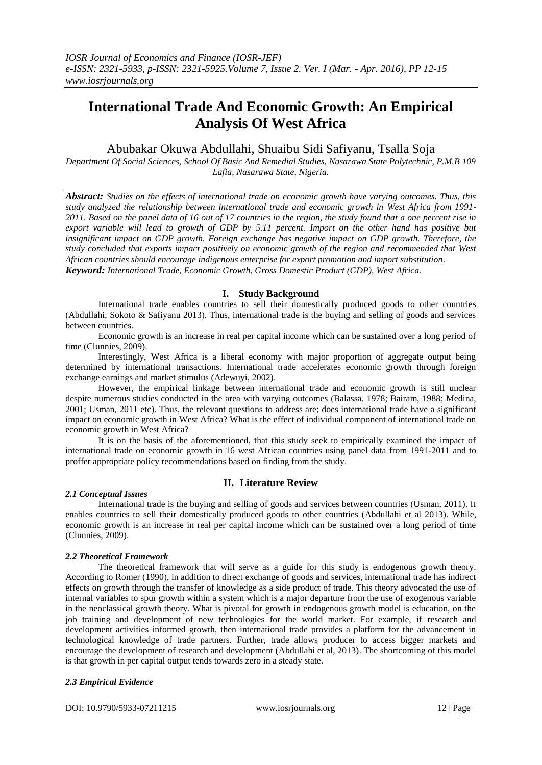# **International Trade And Economic Growth: An Empirical Analysis Of West Africa**

## Abubakar Okuwa Abdullahi, Shuaibu Sidi Safiyanu, Tsalla Soja

*Department Of Social Sciences, School Of Basic And Remedial Studies, Nasarawa State Polytechnic, P.M.B 109 Lafia, Nasarawa State, Nigeria.*

*Abstract: Studies on the effects of international trade on economic growth have varying outcomes. Thus, this study analyzed the relationship between international trade and economic growth in West Africa from 1991- 2011. Based on the panel data of 16 out of 17 countries in the region, the study found that a one percent rise in export variable will lead to growth of GDP by 5.11 percent. Import on the other hand has positive but insignificant impact on GDP growth. Foreign exchange has negative impact on GDP growth. Therefore, the study concluded that exports impact positively on economic growth of the region and recommended that West African countries should encourage indigenous enterprise for export promotion and import substitution. Keyword: International Trade, Economic Growth, Gross Domestic Product (GDP), West Africa.*

## **I. Study Background**

International trade enables countries to sell their domestically produced goods to other countries (Abdullahi, Sokoto & Safiyanu 2013). Thus, international trade is the buying and selling of goods and services between countries.

Economic growth is an increase in real per capital income which can be sustained over a long period of time (Clunnies, 2009).

Interestingly, West Africa is a liberal economy with major proportion of aggregate output being determined by international transactions. International trade accelerates economic growth through foreign exchange earnings and market stimulus (Adewuyi, 2002).

However, the empirical linkage between international trade and economic growth is still unclear despite numerous studies conducted in the area with varying outcomes (Balassa, 1978; Bairam, 1988; Medina, 2001; Usman, 2011 etc). Thus, the relevant questions to address are; does international trade have a significant impact on economic growth in West Africa? What is the effect of individual component of international trade on economic growth in West Africa?

It is on the basis of the aforementioned, that this study seek to empirically examined the impact of international trade on economic growth in 16 west African countries using panel data from 1991-2011 and to proffer appropriate policy recommendations based on finding from the study.

## **II. Literature Review**

### *2.1 Conceptual Issues*

International trade is the buying and selling of goods and services between countries (Usman, 2011). It enables countries to sell their domestically produced goods to other countries (Abdullahi et al 2013). While, economic growth is an increase in real per capital income which can be sustained over a long period of time (Clunnies, 2009).

## *2.2 Theoretical Framework*

The theoretical framework that will serve as a guide for this study is endogenous growth theory. According to Romer (1990), in addition to direct exchange of goods and services, international trade has indirect effects on growth through the transfer of knowledge as a side product of trade. This theory advocated the use of internal variables to spur growth within a system which is a major departure from the use of exogenous variable in the neoclassical growth theory. What is pivotal for growth in endogenous growth model is education, on the job training and development of new technologies for the world market. For example, if research and development activities informed growth, then international trade provides a platform for the advancement in technological knowledge of trade partners. Further, trade allows producer to access bigger markets and encourage the development of research and development (Abdullahi et al, 2013). The shortcoming of this model is that growth in per capital output tends towards zero in a steady state.

## *2.3 Empirical Evidence*

DOI: 10.9790/5933-07211215 www.iosrjournals.org 12 | Page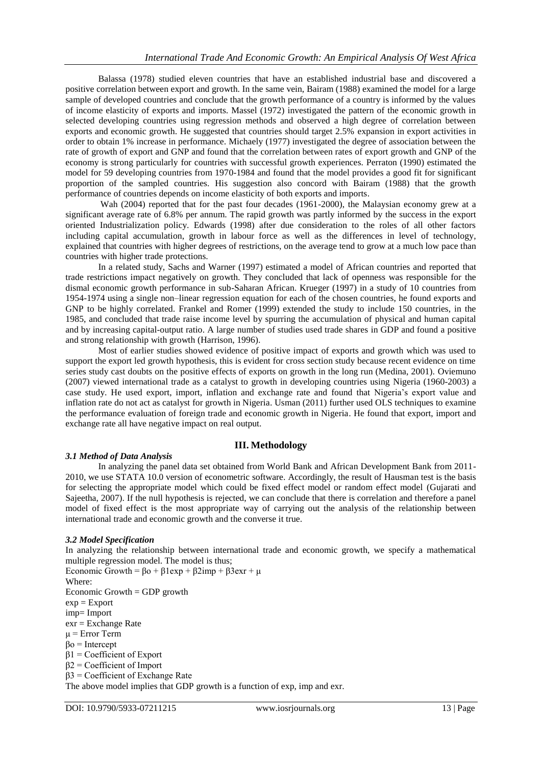Balassa (1978) studied eleven countries that have an established industrial base and discovered a positive correlation between export and growth. In the same vein, Bairam (1988) examined the model for a large sample of developed countries and conclude that the growth performance of a country is informed by the values of income elasticity of exports and imports. Massel (1972) investigated the pattern of the economic growth in selected developing countries using regression methods and observed a high degree of correlation between exports and economic growth. He suggested that countries should target 2.5% expansion in export activities in order to obtain 1% increase in performance. Michaely (1977) investigated the degree of association between the rate of growth of export and GNP and found that the correlation between rates of export growth and GNP of the economy is strong particularly for countries with successful growth experiences. Perraton (1990) estimated the model for 59 developing countries from 1970-1984 and found that the model provides a good fit for significant proportion of the sampled countries. His suggestion also concord with Bairam (1988) that the growth performance of countries depends on income elasticity of both exports and imports.

Wah (2004) reported that for the past four decades (1961-2000), the Malaysian economy grew at a significant average rate of 6.8% per annum. The rapid growth was partly informed by the success in the export oriented Industrialization policy. Edwards (1998) after due consideration to the roles of all other factors including capital accumulation, growth in labour force as well as the differences in level of technology, explained that countries with higher degrees of restrictions, on the average tend to grow at a much low pace than countries with higher trade protections.

In a related study, Sachs and Warner (1997) estimated a model of African countries and reported that trade restrictions impact negatively on growth. They concluded that lack of openness was responsible for the dismal economic growth performance in sub-Saharan African. Krueger (1997) in a study of 10 countries from 1954-1974 using a single non–linear regression equation for each of the chosen countries, he found exports and GNP to be highly correlated. Frankel and Romer (1999) extended the study to include 150 countries, in the 1985, and concluded that trade raise income level by spurring the accumulation of physical and human capital and by increasing capital-output ratio. A large number of studies used trade shares in GDP and found a positive and strong relationship with growth (Harrison, 1996).

Most of earlier studies showed evidence of positive impact of exports and growth which was used to support the export led growth hypothesis, this is evident for cross section study because recent evidence on time series study cast doubts on the positive effects of exports on growth in the long run (Medina, 2001). Oviemuno (2007) viewed international trade as a catalyst to growth in developing countries using Nigeria (1960-2003) a case study. He used export, import, inflation and exchange rate and found that Nigeria's export value and inflation rate do not act as catalyst for growth in Nigeria. Usman (2011) further used OLS techniques to examine the performance evaluation of foreign trade and economic growth in Nigeria. He found that export, import and exchange rate all have negative impact on real output.

## **III. Methodology**

### *3.1 Method of Data Analysis*

In analyzing the panel data set obtained from World Bank and African Development Bank from 2011- 2010, we use STATA 10.0 version of econometric software. Accordingly, the result of Hausman test is the basis for selecting the appropriate model which could be fixed effect model or random effect model (Gujarati and Sajeetha, 2007). If the null hypothesis is rejected, we can conclude that there is correlation and therefore a panel model of fixed effect is the most appropriate way of carrying out the analysis of the relationship between international trade and economic growth and the converse it true.

### *3.2 Model Specification*

In analyzing the relationship between international trade and economic growth, we specify a mathematical multiple regression model. The model is thus; Economic Growth =  $\beta$ o +  $\beta$ 1exp +  $\beta$ 2imp +  $\beta$ 3exr +  $\mu$ Where: Economic Growth  $=$  GDP growth  $exp = Export$ imp= Import exr = Exchange Rate  $\mu$  = Error Term  $βo = Intercept$  $β1 = Coefficient of Expert$ β2 = Coefficient of Import  $β3 = Coefficient of Exchange Rate$ 

The above model implies that GDP growth is a function of exp, imp and exr.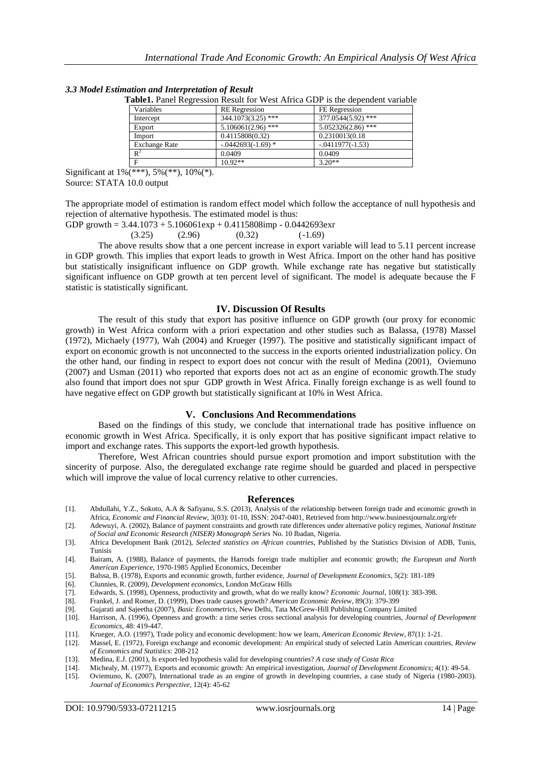|                      |                       | Table1. Panel Regression Result for West Africa GDP is the dependent variable |
|----------------------|-----------------------|-------------------------------------------------------------------------------|
| Variables            | <b>RE</b> Regression  | FE Regression                                                                 |
| Intercept            | 344.1073(3.25) ***    | 377.0544(5.92) ***                                                            |
| Export               | $5.106061(2.96)$ ***  | $5.052326(2.86)$ ***                                                          |
| Import               | 0.4115808(0.32)       | 0.2310013(0.18)                                                               |
| <b>Exchange Rate</b> | $-0.0442693(-1.69)$ * | $-0.411977(-1.53)$                                                            |
| $\mathbb{R}^2$       | 0.0409                | 0.0409                                                                        |
| Е                    | $10.92**$             | $3.20**$                                                                      |

*3.3 Model Estimation and Interpretation of Result*

Significant at 1%(\*\*\*), 5%(\*\*), 10%(\*). Source: STATA 10.0 output

The appropriate model of estimation is random effect model which follow the acceptance of null hypothesis and rejection of alternative hypothesis. The estimated model is thus:

GDP growth =  $3.44.1073 + 5.106061$  exp +  $0.4115808$  imp -  $0.0442693$  exp

$$
(3.25) \t(2.96) \t(0.32) \t(-1.69)
$$

The above results show that a one percent increase in export variable will lead to 5.11 percent increase in GDP growth. This implies that export leads to growth in West Africa. Import on the other hand has positive but statistically insignificant influence on GDP growth. While exchange rate has negative but statistically significant influence on GDP growth at ten percent level of significant. The model is adequate because the F statistic is statistically significant.

### **IV. Discussion Of Results**

The result of this study that export has positive influence on GDP growth (our proxy for economic growth) in West Africa conform with a priori expectation and other studies such as Balassa, (1978) Massel (1972), Michaely (1977), Wah (2004) and Krueger (1997). The positive and statistically significant impact of export on economic growth is not unconnected to the success in the exports oriented industrialization policy. On the other hand, our finding in respect to export does not concur with the result of Medina (2001), Oviemuno (2007) and Usman (2011) who reported that exports does not act as an engine of economic growth.The study also found that import does not spur GDP growth in West Africa. Finally foreign exchange is as well found to have negative effect on GDP growth but statistically significant at 10% in West Africa.

### **V. Conclusions And Recommendations**

Based on the findings of this study, we conclude that international trade has positive influence on economic growth in West Africa. Specifically, it is only export that has positive significant impact relative to import and exchange rates. This supports the export-led growth hypothesis.

Therefore, West African countries should pursue export promotion and import substitution with the sincerity of purpose. Also, the deregulated exchange rate regime should be guarded and placed in perspective which will improve the value of local currency relative to other currencies.

### **References**

- [1]. Abdullahi, Y.Z., Sokoto, A.A & Safiyanu, S.S. (2013), Analysis of the relationship between foreign trade and economic growth in Africa, *Economic and Financial Review*, 3(03): 01-10, ISSN: 2047-0401, Retrieved from http://www.businessjournalz.org/efr
- [2]. Adewuyi, A. (2002), Balance of payment constraints and growth rate differences under alternative policy regimes, *National Institute of Social and Economic Research (NISER) Monograph Series* No. 10 Ibadan, Nigeria.
- [3]. Africa Development Bank (2012), *Selected statistics on African countries*, Published by the Statistics Division of ADB, Tunis, Tunisis
- [4]. Bairam, A. (1988), Balance of payments, the Harrods foreign trade multiplier and economic growth; *the European and North American Experience*, 1970-1985 Applied Economics, December
- [5]. Balssa, B. (1978), Exports and economic growth, further evidence, *Journal of Development Economics*, 5(2): 181-189
- [6]. Clunnies, R. (2009), *Development economics*, London McGraw Hills
- [7]. Edwards, S. (1998), Openness, productivity and growth, what do we really know? *Economic Journal*, 108(1): 383-398.
- [8]. Frankel, J. and Romer, D. (1999), Does trade causes growth? *American Economic Review*, 89(3): 379-399
- [9]. Gujarati and Sajeetha (2007), *Basic Econometrics*, New Delhi, Tata McGrew-Hill Publishing Company Limited [10]. Harrison, A. (1996), Openness and growth: a time series cross sectional analysis for developing countries, *Journal of Development* 
	- *Economics*, 48: 419-447.
- [11]. Krueger, A.O. (1997), Trade policy and economic development: how we learn, *American Economic Review*, 87(1): 1-21. [12]. Massel, E. (1972), Foreign exchange and economic development: An empirical study of selected Latin American countries, *Review of Economics and Statistics*: 208-212
- [13]. Medina, E.J. (2001), Is export-led hypothesis valid for developing countries? *A case study of Costa Rica*
- [14]. Michealy, M. (1977), Exports and economic growth: An empirical investigation, *Journal of Development Economics*; 4(1): 49-54.
- [15]. Oviemuno, K. (2007), International trade as an engine of growth in developing countries, a case study of Nigeria (1980-2003). *Journal of Economics Perspective*, 12(4): 45-62